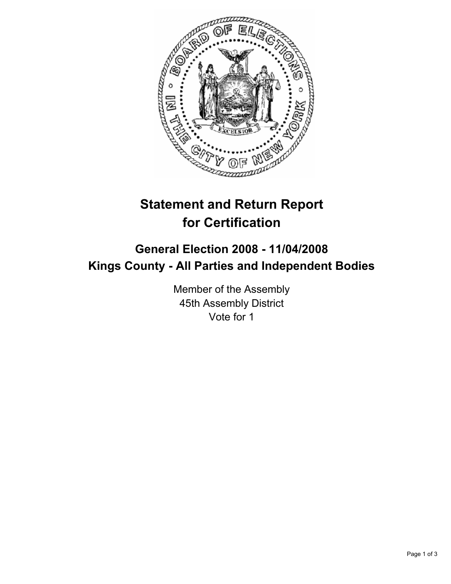

# **Statement and Return Report for Certification**

## **General Election 2008 - 11/04/2008 Kings County - All Parties and Independent Bodies**

Member of the Assembly 45th Assembly District Vote for 1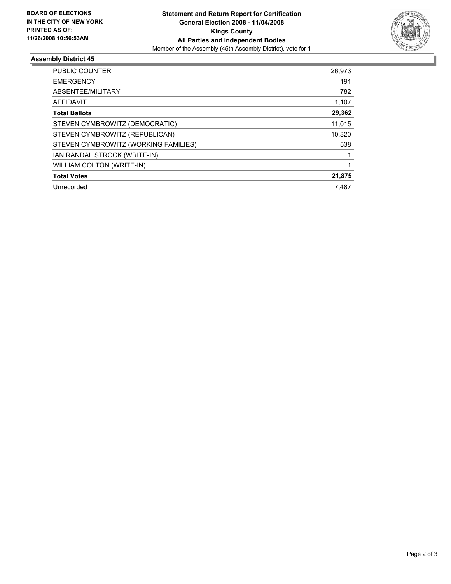

### **Assembly District 45**

| PUBLIC COUNTER                       | 26,973 |
|--------------------------------------|--------|
| <b>EMERGENCY</b>                     | 191    |
| ABSENTEE/MILITARY                    | 782    |
| AFFIDAVIT                            | 1,107  |
| <b>Total Ballots</b>                 | 29,362 |
| STEVEN CYMBROWITZ (DEMOCRATIC)       | 11,015 |
| STEVEN CYMBROWITZ (REPUBLICAN)       | 10,320 |
| STEVEN CYMBROWITZ (WORKING FAMILIES) | 538    |
| IAN RANDAL STROCK (WRITE-IN)         |        |
| <b>WILLIAM COLTON (WRITE-IN)</b>     |        |
| <b>Total Votes</b>                   | 21,875 |
| Unrecorded                           | 7,487  |